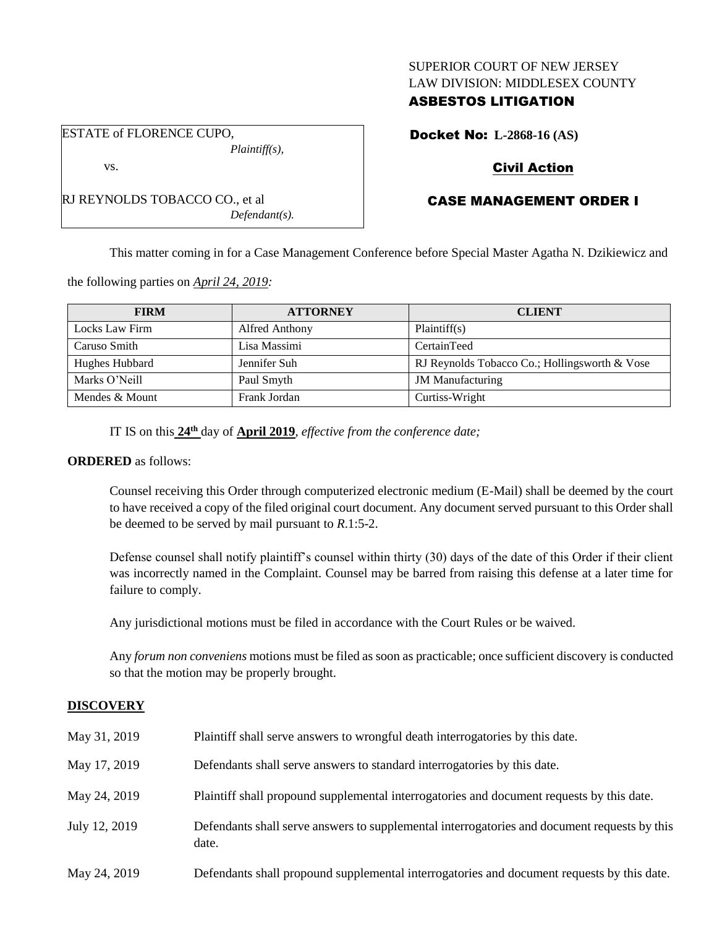## SUPERIOR COURT OF NEW JERSEY LAW DIVISION: MIDDLESEX COUNTY

## ASBESTOS LITIGATION

Docket No: **L-2868-16 (AS)**

# Civil Action

# CASE MANAGEMENT ORDER I

This matter coming in for a Case Management Conference before Special Master Agatha N. Dzikiewicz and

the following parties on *April 24, 2019:*

| <b>FIRM</b>    | <b>ATTORNEY</b> | <b>CLIENT</b>                                 |  |
|----------------|-----------------|-----------------------------------------------|--|
| Locks Law Firm | Alfred Anthony  | Plaintiff(s)                                  |  |
| Caruso Smith   | Lisa Massimi    | CertainTeed                                   |  |
| Hughes Hubbard | Jennifer Suh    | RJ Reynolds Tobacco Co.; Hollingsworth & Vose |  |
| Marks O'Neill  | Paul Smyth      | <b>JM</b> Manufacturing                       |  |
| Mendes & Mount | Frank Jordan    | Curtiss-Wright                                |  |

IT IS on this **24th** day of **April 2019**, *effective from the conference date;*

*Defendant(s).*

### **ORDERED** as follows:

Counsel receiving this Order through computerized electronic medium (E-Mail) shall be deemed by the court to have received a copy of the filed original court document. Any document served pursuant to this Order shall be deemed to be served by mail pursuant to *R*.1:5-2.

Defense counsel shall notify plaintiff's counsel within thirty (30) days of the date of this Order if their client was incorrectly named in the Complaint. Counsel may be barred from raising this defense at a later time for failure to comply.

Any jurisdictional motions must be filed in accordance with the Court Rules or be waived.

Any *forum non conveniens* motions must be filed as soon as practicable; once sufficient discovery is conducted so that the motion may be properly brought.

# **DISCOVERY**

| May 31, 2019  | Plaintiff shall serve answers to wrongful death interrogatories by this date.                         |
|---------------|-------------------------------------------------------------------------------------------------------|
| May 17, 2019  | Defendants shall serve answers to standard interrogatories by this date.                              |
| May 24, 2019  | Plaintiff shall propound supplemental interrogatories and document requests by this date.             |
| July 12, 2019 | Defendants shall serve answers to supplemental interrogatories and document requests by this<br>date. |
| May 24, 2019  | Defendants shall propound supplemental interrogatories and document requests by this date.            |

ESTATE of FLORENCE CUPO, *Plaintiff(s),* vs.

RJ REYNOLDS TOBACCO CO., et al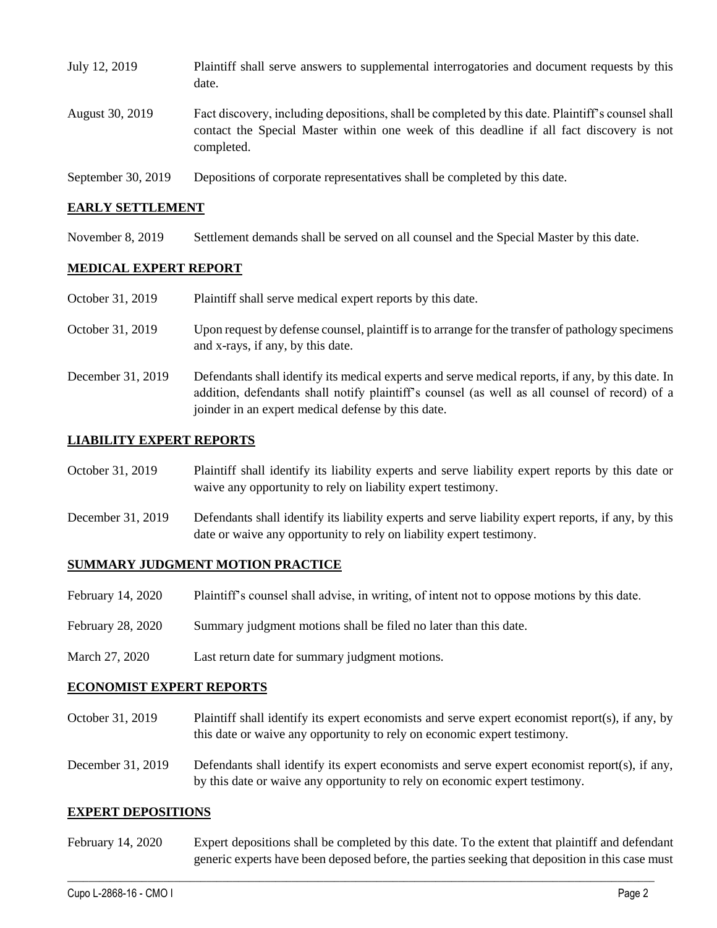| July 12, 2019      | Plaintiff shall serve answers to supplemental interrogatories and document requests by this<br>date.                                                                                                        |
|--------------------|-------------------------------------------------------------------------------------------------------------------------------------------------------------------------------------------------------------|
| August 30, 2019    | Fact discovery, including depositions, shall be completed by this date. Plaintiff's counsel shall<br>contact the Special Master within one week of this deadline if all fact discovery is not<br>completed. |
| September 30, 2019 | Depositions of corporate representatives shall be completed by this date.                                                                                                                                   |

### **EARLY SETTLEMENT**

November 8, 2019 Settlement demands shall be served on all counsel and the Special Master by this date.

### **MEDICAL EXPERT REPORT**

| October 31, 2019  | Plaintiff shall serve medical expert reports by this date.                                                                                                                                                                                               |  |  |
|-------------------|----------------------------------------------------------------------------------------------------------------------------------------------------------------------------------------------------------------------------------------------------------|--|--|
| October 31, 2019  | Upon request by defense counsel, plaintiff is to arrange for the transfer of pathology specimens<br>and x-rays, if any, by this date.                                                                                                                    |  |  |
| December 31, 2019 | Defendants shall identify its medical experts and serve medical reports, if any, by this date. In<br>addition, defendants shall notify plaintiff's counsel (as well as all counsel of record) of a<br>joinder in an expert medical defense by this date. |  |  |

### **LIABILITY EXPERT REPORTS**

| October 31, 2019 | Plaintiff shall identify its liability experts and serve liability expert reports by this date or |  |  |  |  |  |
|------------------|---------------------------------------------------------------------------------------------------|--|--|--|--|--|
|                  | waive any opportunity to rely on liability expert testimony.                                      |  |  |  |  |  |

December 31, 2019 Defendants shall identify its liability experts and serve liability expert reports, if any, by this date or waive any opportunity to rely on liability expert testimony.

#### **SUMMARY JUDGMENT MOTION PRACTICE**

|  | February 14, 2020 | Plaintiff's counsel shall advise, in writing, of intent not to oppose motions by this date. |  |  |  |
|--|-------------------|---------------------------------------------------------------------------------------------|--|--|--|
|--|-------------------|---------------------------------------------------------------------------------------------|--|--|--|

- February 28, 2020 Summary judgment motions shall be filed no later than this date.
- March 27, 2020 Last return date for summary judgment motions.

#### **ECONOMIST EXPERT REPORTS**

- October 31, 2019 Plaintiff shall identify its expert economists and serve expert economist report(s), if any, by this date or waive any opportunity to rely on economic expert testimony.
- December 31, 2019 Defendants shall identify its expert economists and serve expert economist report(s), if any, by this date or waive any opportunity to rely on economic expert testimony.

#### **EXPERT DEPOSITIONS**

February 14, 2020 Expert depositions shall be completed by this date. To the extent that plaintiff and defendant generic experts have been deposed before, the parties seeking that deposition in this case must

 $\_$  , and the set of the set of the set of the set of the set of the set of the set of the set of the set of the set of the set of the set of the set of the set of the set of the set of the set of the set of the set of th